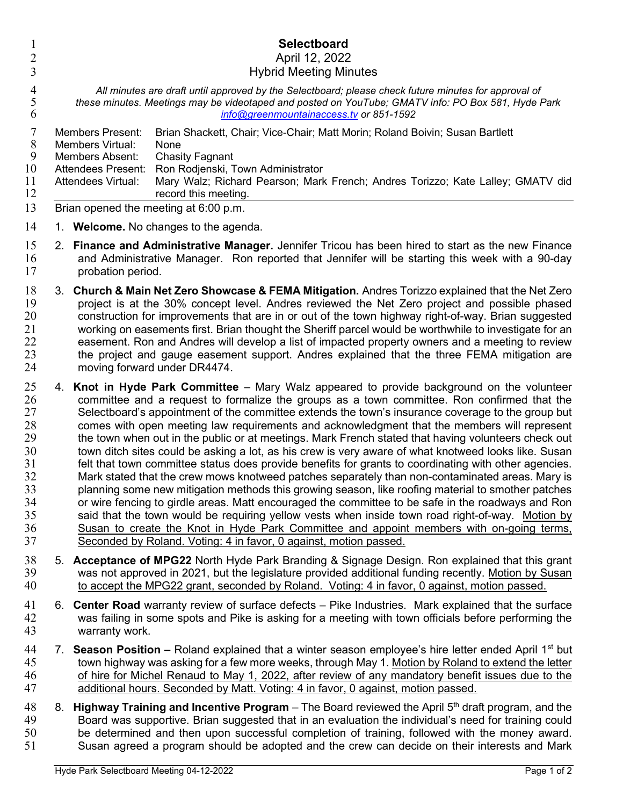| 1                                                                          | <b>Selectboard</b>                    |                                                                                                                                                                                                                                                                                                                                                                                                                                                                                                                                                                                                                                                                                                                                                                                                                                                                                                                                                                                                                                                                                                                                                                                                                                                                                                              |                                                                                                                                                                                                                                                                                                                              |  |
|----------------------------------------------------------------------------|---------------------------------------|--------------------------------------------------------------------------------------------------------------------------------------------------------------------------------------------------------------------------------------------------------------------------------------------------------------------------------------------------------------------------------------------------------------------------------------------------------------------------------------------------------------------------------------------------------------------------------------------------------------------------------------------------------------------------------------------------------------------------------------------------------------------------------------------------------------------------------------------------------------------------------------------------------------------------------------------------------------------------------------------------------------------------------------------------------------------------------------------------------------------------------------------------------------------------------------------------------------------------------------------------------------------------------------------------------------|------------------------------------------------------------------------------------------------------------------------------------------------------------------------------------------------------------------------------------------------------------------------------------------------------------------------------|--|
| $\overline{c}$<br>3                                                        |                                       | April 12, 2022<br><b>Hybrid Meeting Minutes</b>                                                                                                                                                                                                                                                                                                                                                                                                                                                                                                                                                                                                                                                                                                                                                                                                                                                                                                                                                                                                                                                                                                                                                                                                                                                              |                                                                                                                                                                                                                                                                                                                              |  |
| $\overline{4}$<br>$\mathfrak{S}$<br>6                                      |                                       | All minutes are draft until approved by the Selectboard; please check future minutes for approval of<br>these minutes. Meetings may be videotaped and posted on YouTube; GMATV info: PO Box 581, Hyde Park<br>info@greenmountainaccess.tv or 851-1592                                                                                                                                                                                                                                                                                                                                                                                                                                                                                                                                                                                                                                                                                                                                                                                                                                                                                                                                                                                                                                                        |                                                                                                                                                                                                                                                                                                                              |  |
| 7<br>8<br>9<br>10<br>11<br>12                                              |                                       | <b>Members Present:</b><br>Members Virtual:<br><b>Members Absent:</b><br><b>Attendees Present:</b><br><b>Attendees Virtual:</b>                                                                                                                                                                                                                                                                                                                                                                                                                                                                                                                                                                                                                                                                                                                                                                                                                                                                                                                                                                                                                                                                                                                                                                              | Brian Shackett, Chair; Vice-Chair; Matt Morin; Roland Boivin; Susan Bartlett<br>None<br><b>Chasity Fagnant</b><br>Ron Rodjenski, Town Administrator<br>Mary Walz; Richard Pearson; Mark French; Andres Torizzo; Kate Lalley; GMATV did<br>record this meeting.                                                               |  |
| 13                                                                         | Brian opened the meeting at 6:00 p.m. |                                                                                                                                                                                                                                                                                                                                                                                                                                                                                                                                                                                                                                                                                                                                                                                                                                                                                                                                                                                                                                                                                                                                                                                                                                                                                                              |                                                                                                                                                                                                                                                                                                                              |  |
| 14                                                                         | 1. Welcome. No changes to the agenda. |                                                                                                                                                                                                                                                                                                                                                                                                                                                                                                                                                                                                                                                                                                                                                                                                                                                                                                                                                                                                                                                                                                                                                                                                                                                                                                              |                                                                                                                                                                                                                                                                                                                              |  |
| 15<br>16<br>17                                                             | 2.                                    | <b>Finance and Administrative Manager.</b> Jennifer Tricou has been hired to start as the new Finance<br>and Administrative Manager. Ron reported that Jennifer will be starting this week with a 90-day<br>probation period.                                                                                                                                                                                                                                                                                                                                                                                                                                                                                                                                                                                                                                                                                                                                                                                                                                                                                                                                                                                                                                                                                |                                                                                                                                                                                                                                                                                                                              |  |
| 18<br>19<br>20<br>21<br>22<br>23<br>24                                     | 3.                                    | Church & Main Net Zero Showcase & FEMA Mitigation. Andres Torizzo explained that the Net Zero<br>project is at the 30% concept level. Andres reviewed the Net Zero project and possible phased<br>construction for improvements that are in or out of the town highway right-of-way. Brian suggested<br>working on easements first. Brian thought the Sheriff parcel would be worthwhile to investigate for an<br>easement. Ron and Andres will develop a list of impacted property owners and a meeting to review<br>the project and gauge easement support. Andres explained that the three FEMA mitigation are<br>moving forward under DR4474.                                                                                                                                                                                                                                                                                                                                                                                                                                                                                                                                                                                                                                                            |                                                                                                                                                                                                                                                                                                                              |  |
| 25<br>26<br>27<br>28<br>29<br>30<br>31<br>32<br>33<br>34<br>35<br>36<br>37 | 4.                                    | <b>Knot in Hyde Park Committee</b> – Mary Walz appeared to provide background on the volunteer<br>committee and a request to formalize the groups as a town committee. Ron confirmed that the<br>Selectboard's appointment of the committee extends the town's insurance coverage to the group but<br>comes with open meeting law requirements and acknowledgment that the members will represent<br>the town when out in the public or at meetings. Mark French stated that having volunteers check out<br>town ditch sites could be asking a lot, as his crew is very aware of what knotweed looks like. Susan<br>felt that town committee status does provide benefits for grants to coordinating with other agencies.<br>Mark stated that the crew mows knotweed patches separately than non-contaminated areas. Mary is<br>planning some new mitigation methods this growing season, like roofing material to smother patches<br>or wire fencing to girdle areas. Matt encouraged the committee to be safe in the roadways and Ron<br>said that the town would be requiring yellow vests when inside town road right-of-way. Motion by<br>Susan to create the Knot in Hyde Park Committee and appoint members with on-going terms,<br>Seconded by Roland. Voting: 4 in favor, 0 against, motion passed. |                                                                                                                                                                                                                                                                                                                              |  |
| 38<br>39<br>40                                                             |                                       | 5. Acceptance of MPG22 North Hyde Park Branding & Signage Design. Ron explained that this grant<br>was not approved in 2021, but the legislature provided additional funding recently. Motion by Susan<br>to accept the MPG22 grant, seconded by Roland. Voting: 4 in favor, 0 against, motion passed.                                                                                                                                                                                                                                                                                                                                                                                                                                                                                                                                                                                                                                                                                                                                                                                                                                                                                                                                                                                                       |                                                                                                                                                                                                                                                                                                                              |  |
| 41<br>42<br>43                                                             | 6.                                    | <b>Center Road</b> warranty review of surface defects – Pike Industries. Mark explained that the surface<br>was failing in some spots and Pike is asking for a meeting with town officials before performing the<br>warranty work.                                                                                                                                                                                                                                                                                                                                                                                                                                                                                                                                                                                                                                                                                                                                                                                                                                                                                                                                                                                                                                                                           |                                                                                                                                                                                                                                                                                                                              |  |
| 44<br>45<br>16.                                                            |                                       |                                                                                                                                                                                                                                                                                                                                                                                                                                                                                                                                                                                                                                                                                                                                                                                                                                                                                                                                                                                                                                                                                                                                                                                                                                                                                                              | 7. Season Position – Roland explained that a winter season employee's hire letter ended April 1 <sup>st</sup> but<br>town highway was asking for a few more weeks, through May 1. Motion by Roland to extend the letter<br>of bire for Michal Penaud to May 1, 2022, after review of any mandatory benefit issues due to the |  |

of hire for Michel Renaud to May 1, 2022, after review of any mandatory benefit issues due to the additional hours. Seconded by Matt. Voting: 4 in favor, 0 against, motion passed.

8. Highway Training and Incentive Program – The Board reviewed the April  $5<sup>th</sup>$  draft program, and the Board was supportive. Brian suggested that in an evaluation the individual's need for training could 50 be determined and then upon successful completion of training, followed with the money award.<br>51 Susan agreed a program should be adopted and the crew can decide on their interests and Mark Susan agreed a program should be adopted and the crew can decide on their interests and Mark